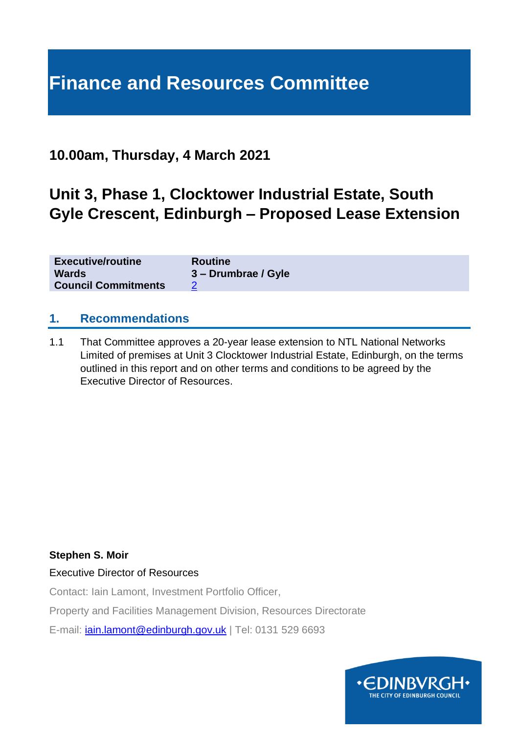# **Finance and Resources Committee**

# **10.00am, Thursday, 4 March 2021**

# **Unit 3, Phase 1, Clocktower Industrial Estate, South Gyle Crescent, Edinburgh – Proposed Lease Extension**

| <b>Executive/routine</b>   | <b>Routine</b>      |
|----------------------------|---------------------|
| <b>Wards</b>               | 3 – Drumbrae / Gyle |
| <b>Council Commitments</b> |                     |

#### **1. Recommendations**

1.1 That Committee approves a 20-year lease extension to NTL National Networks Limited of premises at Unit 3 Clocktower Industrial Estate, Edinburgh, on the terms outlined in this report and on other terms and conditions to be agreed by the Executive Director of Resources.

#### **Stephen S. Moir**

Executive Director of Resources

Contact: Iain Lamont, Investment Portfolio Officer,

Property and Facilities Management Division, Resources Directorate

E-mail: [iain.lamont@edinburgh.gov.uk](mailto:iain.lamont@edinburgh.gov.uk) | Tel: 0131 529 6693

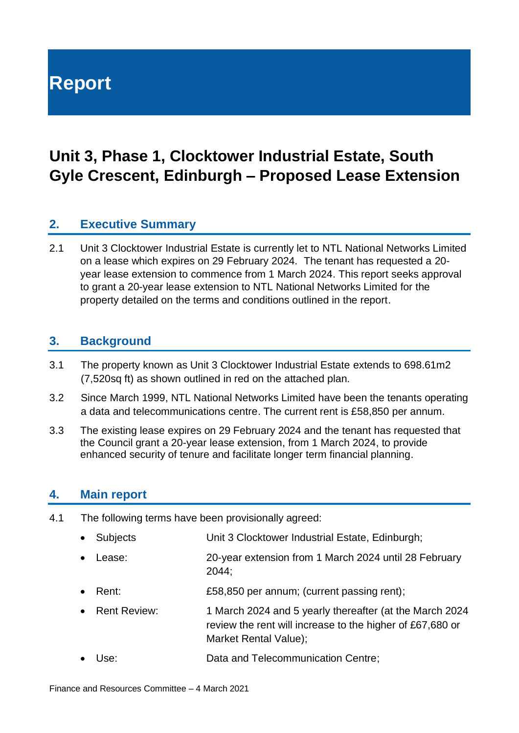# **Report**

# **Unit 3, Phase 1, Clocktower Industrial Estate, South Gyle Crescent, Edinburgh – Proposed Lease Extension**

# **2. Executive Summary**

2.1 Unit 3 Clocktower Industrial Estate is currently let to NTL National Networks Limited on a lease which expires on 29 February 2024. The tenant has requested a 20 year lease extension to commence from 1 March 2024. This report seeks approval to grant a 20-year lease extension to NTL National Networks Limited for the property detailed on the terms and conditions outlined in the report.

#### **3. Background**

- 3.1 The property known as Unit 3 Clocktower Industrial Estate extends to 698.61m2 (7,520sq ft) as shown outlined in red on the attached plan.
- 3.2 Since March 1999, NTL National Networks Limited have been the tenants operating a data and telecommunications centre. The current rent is £58,850 per annum.
- 3.3 The existing lease expires on 29 February 2024 and the tenant has requested that the Council grant a 20-year lease extension, from 1 March 2024, to provide enhanced security of tenure and facilitate longer term financial planning.

#### **4. Main report**

- 4.1 The following terms have been provisionally agreed:
	- Subjects Unit 3 Clocktower Industrial Estate, Edinburgh;
	- Lease: 20-year extension from 1 March 2024 until 28 February 2044;
	- Rent: **£58,850 per annum; (current passing rent)**;
	- Rent Review: 1 March 2024 and 5 yearly thereafter (at the March 2024 review the rent will increase to the higher of £67,680 or Market Rental Value);
	- Use: Data and Telecommunication Centre;